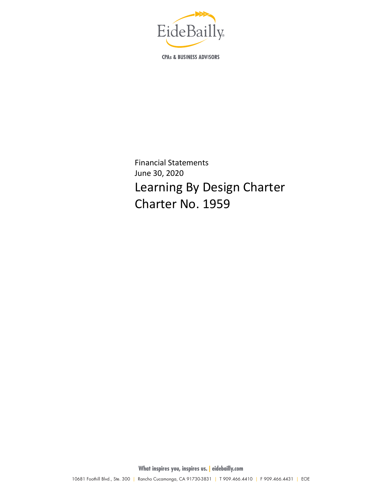

**CPAs & BUSINESS ADVISORS** 

Financial Statements June 30, 2020 Learning By Design Charter Charter No. 1959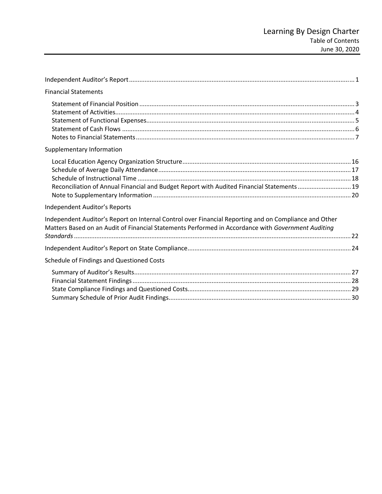| <b>Financial Statements</b>                                                                                                                                                                                 |  |
|-------------------------------------------------------------------------------------------------------------------------------------------------------------------------------------------------------------|--|
|                                                                                                                                                                                                             |  |
| Supplementary Information                                                                                                                                                                                   |  |
| Reconciliation of Annual Financial and Budget Report with Audited Financial Statements 19                                                                                                                   |  |
| Independent Auditor's Reports                                                                                                                                                                               |  |
| Independent Auditor's Report on Internal Control over Financial Reporting and on Compliance and Other<br>Matters Based on an Audit of Financial Statements Performed in Accordance with Government Auditing |  |
|                                                                                                                                                                                                             |  |
| Schedule of Findings and Questioned Costs                                                                                                                                                                   |  |
|                                                                                                                                                                                                             |  |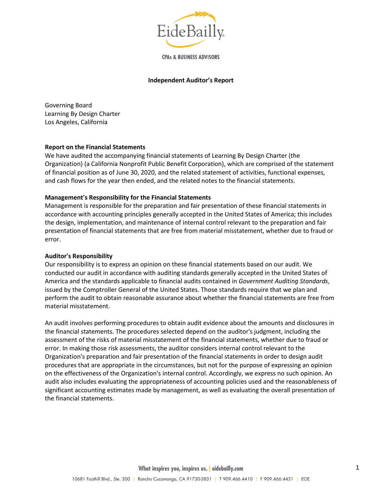

**CPAs & BUSINESS ADVISORS** 

#### **Independent Auditor's Report**

<span id="page-2-0"></span>Governing Board Learning By Design Charter Los Angeles, California

### **Report on the Financial Statements**

We have audited the accompanying financial statements of Learning By Design Charter (the Organization) (a California Nonprofit Public Benefit Corporation), which are comprised of the statement of financial position as of June 30, 2020, and the related statement of activities, functional expenses, and cash flows for the year then ended, and the related notes to the financial statements.

### **Management's Responsibility for the Financial Statements**

Management is responsible for the preparation and fair presentation of these financial statements in accordance with accounting principles generally accepted in the United States of America; this includes the design, implementation, and maintenance of internal control relevant to the preparation and fair presentation of financial statements that are free from material misstatement, whether due to fraud or error.

# **Auditor's Responsibility**

Our responsibility is to express an opinion on these financial statements based on our audit. We conducted our audit in accordance with auditing standards generally accepted in the United States of America and the standards applicable to financial audits contained in *Government Auditing Standards*, issued by the Comptroller General of the United States. Those standards require that we plan and perform the audit to obtain reasonable assurance about whether the financial statements are free from material misstatement.

An audit involves performing procedures to obtain audit evidence about the amounts and disclosures in the financial statements. The procedures selected depend on the auditor's judgment, including the assessment of the risks of material misstatement of the financial statements, whether due to fraud or error. In making those risk assessments, the auditor considers internal control relevant to the Organization's preparation and fair presentation of the financial statements in order to design audit procedures that are appropriate in the circumstances, but not for the purpose of expressing an opinion on the effectiveness of the Organization's internal control. Accordingly, we express no such opinion. An audit also includes evaluating the appropriateness of accounting policies used and the reasonableness of significant accounting estimates made by management, as well as evaluating the overall presentation of the financial statements.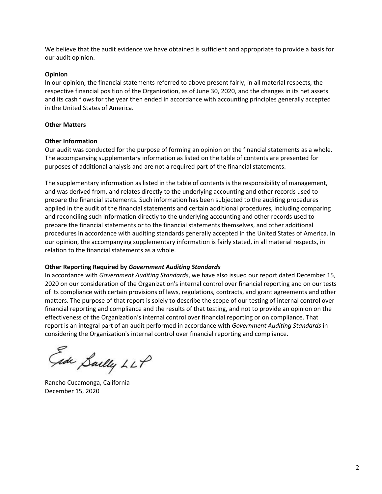We believe that the audit evidence we have obtained is sufficient and appropriate to provide a basis for our audit opinion.

### **Opinion**

In our opinion, the financial statements referred to above present fairly, in all material respects, the respective financial position of the Organization, as of June 30, 2020, and the changes in its net assets and its cash flows for the year then ended in accordance with accounting principles generally accepted in the United States of America.

# **Other Matters**

# **Other Information**

Our audit was conducted for the purpose of forming an opinion on the financial statements as a whole. The accompanying supplementary information as listed on the table of contents are presented for purposes of additional analysis and are not a required part of the financial statements.

The supplementary information as listed in the table of contents is the responsibility of management, and was derived from, and relates directly to the underlying accounting and other records used to prepare the financial statements. Such information has been subjected to the auditing procedures applied in the audit of the financial statements and certain additional procedures, including comparing and reconciling such information directly to the underlying accounting and other records used to prepare the financial statements or to the financial statements themselves, and other additional procedures in accordance with auditing standards generally accepted in the United States of America. In our opinion, the accompanying supplementary information is fairly stated, in all material respects, in relation to the financial statements as a whole.

# **Other Reporting Required by** *Government Auditing Standards*

In accordance with *Government Auditing Standards*, we have also issued our report dated December 15, 2020 on our consideration of the Organization's internal control over financial reporting and on our tests of its compliance with certain provisions of laws, regulations, contracts, and grant agreements and other matters. The purpose of that report is solely to describe the scope of our testing of internal control over financial reporting and compliance and the results of that testing, and not to provide an opinion on the effectiveness of the Organization's internal control over financial reporting or on compliance. That report is an integral part of an audit performed in accordance with *Government Auditing Standards* in considering the Organization's internal control over financial reporting and compliance.

Fede Saelly LLP

Rancho Cucamonga, California December 15, 2020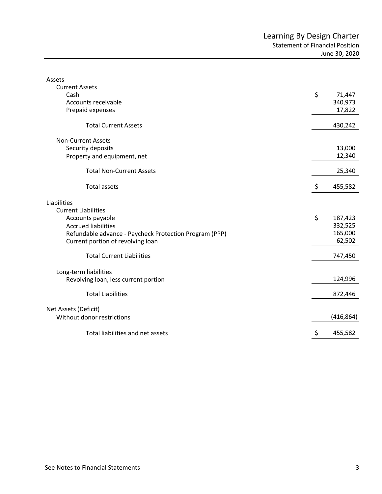<span id="page-4-1"></span><span id="page-4-0"></span>

| Assets                                                 |               |
|--------------------------------------------------------|---------------|
| <b>Current Assets</b>                                  |               |
| Cash                                                   | \$<br>71,447  |
| Accounts receivable                                    | 340,973       |
| Prepaid expenses                                       | 17,822        |
| <b>Total Current Assets</b>                            | 430,242       |
| <b>Non-Current Assets</b>                              |               |
| Security deposits                                      | 13,000        |
| Property and equipment, net                            | 12,340        |
| <b>Total Non-Current Assets</b>                        | 25,340        |
| <b>Total assets</b>                                    | 455,582       |
| Liabilities                                            |               |
| <b>Current Liabilities</b>                             |               |
| Accounts payable                                       | \$<br>187,423 |
| <b>Accrued liabilities</b>                             | 332,525       |
| Refundable advance - Paycheck Protection Program (PPP) | 165,000       |
| Current portion of revolving loan                      | 62,502        |
| <b>Total Current Liabilities</b>                       | 747,450       |
|                                                        |               |
| Long-term liabilities                                  | 124,996       |
| Revolving loan, less current portion                   |               |
| <b>Total Liabilities</b>                               | 872,446       |
| Net Assets (Deficit)                                   |               |
| Without donor restrictions                             | (416, 864)    |
| Total liabilities and net assets                       | \$<br>455,582 |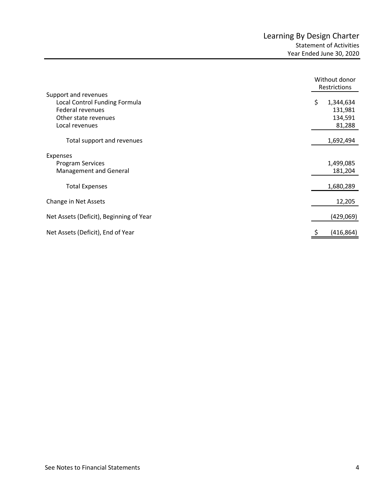<span id="page-5-0"></span>

|                                                                                                                     | Without donor<br>Restrictions                   |
|---------------------------------------------------------------------------------------------------------------------|-------------------------------------------------|
| Support and revenues<br>Local Control Funding Formula<br>Federal revenues<br>Other state revenues<br>Local revenues | \$<br>1,344,634<br>131,981<br>134,591<br>81,288 |
| Total support and revenues                                                                                          | 1,692,494                                       |
| Expenses<br><b>Program Services</b><br>Management and General                                                       | 1,499,085<br>181,204                            |
| <b>Total Expenses</b>                                                                                               | 1,680,289                                       |
| Change in Net Assets                                                                                                | 12,205                                          |
| Net Assets (Deficit), Beginning of Year                                                                             | (429,069)                                       |
| Net Assets (Deficit), End of Year                                                                                   | (416, 864)                                      |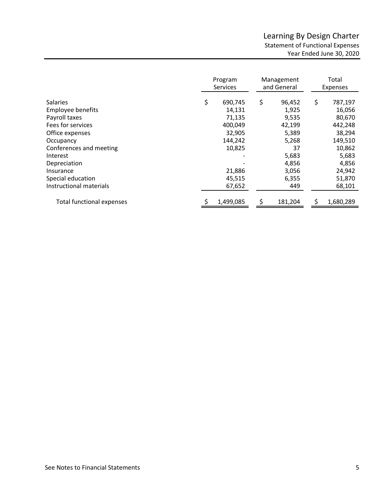<span id="page-6-0"></span>

|                                  | Program<br><b>Services</b> | Management<br>and General | Total<br><b>Expenses</b> |
|----------------------------------|----------------------------|---------------------------|--------------------------|
| <b>Salaries</b>                  | \$<br>690,745              | \$<br>96,452              | \$<br>787,197            |
| <b>Employee benefits</b>         | 14,131                     | 1,925                     | 16,056                   |
| Payroll taxes                    | 71,135                     | 9,535                     | 80,670                   |
| Fees for services                | 400,049                    | 42,199                    | 442,248                  |
| Office expenses                  | 32,905                     | 5,389                     | 38,294                   |
| Occupancy                        | 144,242                    | 5,268                     | 149,510                  |
| Conferences and meeting          | 10,825                     | 37                        | 10,862                   |
| Interest                         |                            | 5,683                     | 5,683                    |
| Depreciation                     |                            | 4,856                     | 4,856                    |
| Insurance                        | 21,886                     | 3,056                     | 24,942                   |
| Special education                | 45,515                     | 6,355                     | 51,870                   |
| Instructional materials          | 67,652                     | 449                       | 68,101                   |
| <b>Total functional expenses</b> | 1,499,085                  | 181,204                   | 1,680,289                |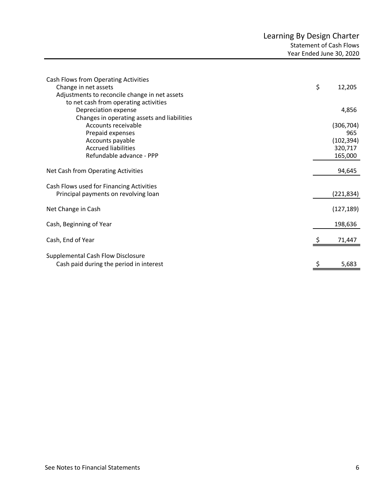<span id="page-7-0"></span>

| Cash Flows from Operating Activities<br>Change in net assets<br>Adjustments to reconcile change in net assets<br>to net cash from operating activities               | \$<br>12,205                                          |
|----------------------------------------------------------------------------------------------------------------------------------------------------------------------|-------------------------------------------------------|
| Depreciation expense                                                                                                                                                 | 4,856                                                 |
| Changes in operating assets and liabilities<br>Accounts receivable<br>Prepaid expenses<br>Accounts payable<br><b>Accrued liabilities</b><br>Refundable advance - PPP | (306, 704)<br>965<br>(102, 394)<br>320,717<br>165,000 |
| Net Cash from Operating Activities                                                                                                                                   | 94,645                                                |
| Cash Flows used for Financing Activities<br>Principal payments on revolving loan                                                                                     | (221, 834)                                            |
| Net Change in Cash                                                                                                                                                   | (127, 189)                                            |
| Cash, Beginning of Year                                                                                                                                              | 198,636                                               |
| Cash, End of Year                                                                                                                                                    | 71,447                                                |
| <b>Supplemental Cash Flow Disclosure</b><br>Cash paid during the period in interest                                                                                  | 5,683                                                 |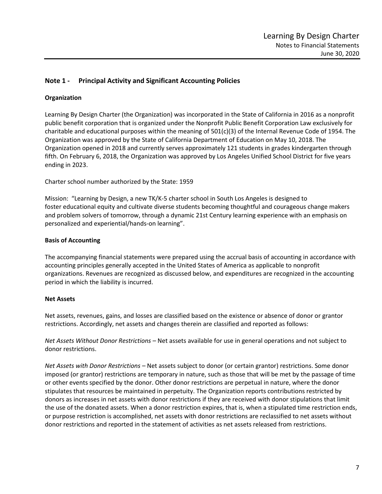# <span id="page-8-0"></span>**Note 1 - Principal Activity and Significant Accounting Policies**

# **Organization**

Learning By Design Charter (the Organization) was incorporated in the State of California in 2016 as a nonprofit public benefit corporation that is organized under the Nonprofit Public Benefit Corporation Law exclusively for charitable and educational purposes within the meaning of  $501(c)(3)$  of the Internal Revenue Code of 1954. The Organization was approved by the State of California Department of Education on May 10, 2018. The Organization opened in 2018 and currently serves approximately 121 students in grades kindergarten through fifth. On February 6, 2018, the Organization was approved by Los Angeles Unified School District for five years ending in 2023.

Charter school number authorized by the State: 1959

Mission: "Learning by Design, a new TK/K-5 charter school in South Los Angeles is designed to foster educational equity and cultivate diverse students becoming thoughtful and courageous change makers and problem solvers of tomorrow, through a dynamic 21st Century learning experience with an emphasis on personalized and experiential/hands-on learning".

# **Basis of Accounting**

The accompanying financial statements were prepared using the accrual basis of accounting in accordance with accounting principles generally accepted in the United States of America as applicable to nonprofit organizations. Revenues are recognized as discussed below, and expenditures are recognized in the accounting period in which the liability is incurred.

# **Net Assets**

Net assets, revenues, gains, and losses are classified based on the existence or absence of donor or grantor restrictions. Accordingly, net assets and changes therein are classified and reported as follows:

*Net Assets Without Donor Restrictions –* Net assets available for use in general operations and not subject to donor restrictions.

*Net Assets with Donor Restrictions –* Net assets subject to donor (or certain grantor) restrictions. Some donor imposed (or grantor) restrictions are temporary in nature, such as those that will be met by the passage of time or other events specified by the donor. Other donor restrictions are perpetual in nature, where the donor stipulates that resources be maintained in perpetuity. The Organization reports contributions restricted by donors as increases in net assets with donor restrictions if they are received with donor stipulations that limit the use of the donated assets. When a donor restriction expires, that is, when a stipulated time restriction ends, or purpose restriction is accomplished, net assets with donor restrictions are reclassified to net assets without donor restrictions and reported in the statement of activities as net assets released from restrictions.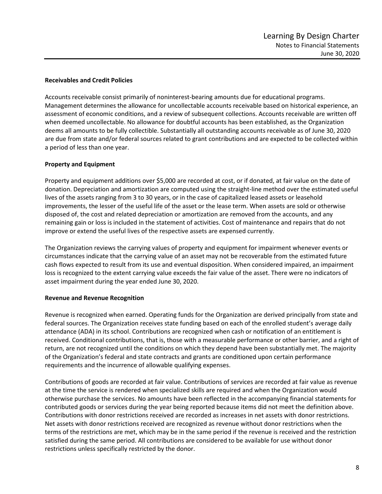# **Receivables and Credit Policies**

Accounts receivable consist primarily of noninterest-bearing amounts due for educational programs. Management determines the allowance for uncollectable accounts receivable based on historical experience, an assessment of economic conditions, and a review of subsequent collections. Accounts receivable are written off when deemed uncollectable. No allowance for doubtful accounts has been established, as the Organization deems all amounts to be fully collectible. Substantially all outstanding accounts receivable as of June 30, 2020 are due from state and/or federal sources related to grant contributions and are expected to be collected within a period of less than one year.

# **Property and Equipment**

Property and equipment additions over \$5,000 are recorded at cost, or if donated, at fair value on the date of donation. Depreciation and amortization are computed using the straight-line method over the estimated useful lives of the assets ranging from 3 to 30 years, or in the case of capitalized leased assets or leasehold improvements, the lesser of the useful life of the asset or the lease term. When assets are sold or otherwise disposed of, the cost and related depreciation or amortization are removed from the accounts, and any remaining gain or loss is included in the statement of activities. Cost of maintenance and repairs that do not improve or extend the useful lives of the respective assets are expensed currently.

The Organization reviews the carrying values of property and equipment for impairment whenever events or circumstances indicate that the carrying value of an asset may not be recoverable from the estimated future cash flows expected to result from its use and eventual disposition. When considered impaired, an impairment loss is recognized to the extent carrying value exceeds the fair value of the asset. There were no indicators of asset impairment during the year ended June 30, 2020.

# **Revenue and Revenue Recognition**

Revenue is recognized when earned. Operating funds for the Organization are derived principally from state and federal sources. The Organization receives state funding based on each of the enrolled student's average daily attendance (ADA) in its school. Contributions are recognized when cash or notification of an entitlement is received. Conditional contributions, that is, those with a measurable performance or other barrier, and a right of return, are not recognized until the conditions on which they depend have been substantially met. The majority of the Organization's federal and state contracts and grants are conditioned upon certain performance requirements and the incurrence of allowable qualifying expenses.

Contributions of goods are recorded at fair value. Contributions of services are recorded at fair value as revenue at the time the service is rendered when specialized skills are required and when the Organization would otherwise purchase the services. No amounts have been reflected in the accompanying financial statements for contributed goods or services during the year being reported because items did not meet the definition above. Contributions with donor restrictions received are recorded as increases in net assets with donor restrictions. Net assets with donor restrictions received are recognized as revenue without donor restrictions when the terms of the restrictions are met, which may be in the same period if the revenue is received and the restriction satisfied during the same period. All contributions are considered to be available for use without donor restrictions unless specifically restricted by the donor.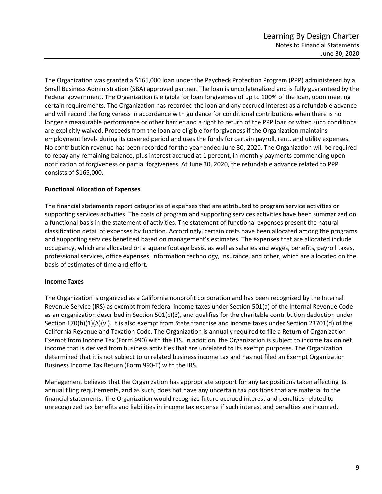The Organization was granted a \$165,000 loan under the Paycheck Protection Program (PPP) administered by a Small Business Administration (SBA) approved partner. The loan is uncollateralized and is fully guaranteed by the Federal government. The Organization is eligible for loan forgiveness of up to 100% of the loan, upon meeting certain requirements. The Organization has recorded the loan and any accrued interest as a refundable advance and will record the forgiveness in accordance with guidance for conditional contributions when there is no longer a measurable performance or other barrier and a right to return of the PPP loan or when such conditions are explicitly waived. Proceeds from the loan are eligible for forgiveness if the Organization maintains employment levels during its covered period and uses the funds for certain payroll, rent, and utility expenses. No contribution revenue has been recorded for the year ended June 30, 2020. The Organization will be required to repay any remaining balance, plus interest accrued at 1 percent, in monthly payments commencing upon notification of forgiveness or partial forgiveness. At June 30, 2020, the refundable advance related to PPP consists of \$165,000.

# **Functional Allocation of Expenses**

The financial statements report categories of expenses that are attributed to program service activities or supporting services activities. The costs of program and supporting services activities have been summarized on a functional basis in the statement of activities. The statement of functional expenses present the natural classification detail of expenses by function. Accordingly, certain costs have been allocated among the programs and supporting services benefited based on management's estimates. The expenses that are allocated include occupancy, which are allocated on a square footage basis, as well as salaries and wages, benefits, payroll taxes, professional services, office expenses, information technology, insurance, and other, which are allocated on the basis of estimates of time and effort**.**

# **Income Taxes**

The Organization is organized as a California nonprofit corporation and has been recognized by the Internal Revenue Service (IRS) as exempt from federal income taxes under Section 501(a) of the Internal Revenue Code as an organization described in Section 501(c)(3), and qualifies for the charitable contribution deduction under Section 170(b)(1)(A)(vi). It is also exempt from State franchise and income taxes under Section 23701(d) of the California Revenue and Taxation Code. The Organization is annually required to file a Return of Organization Exempt from Income Tax (Form 990) with the IRS. In addition, the Organization is subject to income tax on net income that is derived from business activities that are unrelated to its exempt purposes. The Organization determined that it is not subject to unrelated business income tax and has not filed an Exempt Organization Business Income Tax Return (Form 990‐T) with the IRS.

Management believes that the Organization has appropriate support for any tax positions taken affecting its annual filing requirements, and as such, does not have any uncertain tax positions that are material to the financial statements. The Organization would recognize future accrued interest and penalties related to unrecognized tax benefits and liabilities in income tax expense if such interest and penalties are incurred**.**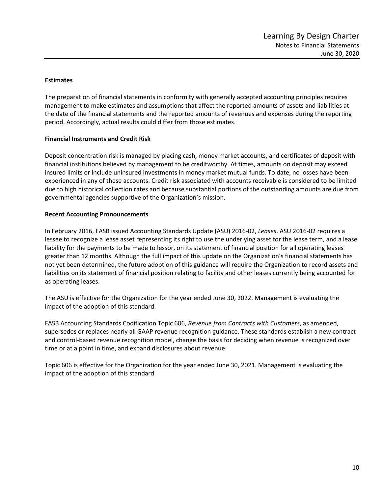# **Estimates**

The preparation of financial statements in conformity with generally accepted accounting principles requires management to make estimates and assumptions that affect the reported amounts of assets and liabilities at the date of the financial statements and the reported amounts of revenues and expenses during the reporting period. Accordingly, actual results could differ from those estimates.

# **Financial Instruments and Credit Risk**

Deposit concentration risk is managed by placing cash, money market accounts, and certificates of deposit with financial institutions believed by management to be creditworthy. At times, amounts on deposit may exceed insured limits or include uninsured investments in money market mutual funds. To date, no losses have been experienced in any of these accounts. Credit risk associated with accounts receivable is considered to be limited due to high historical collection rates and because substantial portions of the outstanding amounts are due from governmental agencies supportive of the Organization's mission.

# **Recent Accounting Pronouncements**

In February 2016, FASB issued Accounting Standards Update (ASU) 2016‐02, *Leases*. ASU 2016‐02 requires a lessee to recognize a lease asset representing its right to use the underlying asset for the lease term, and a lease liability for the payments to be made to lessor, on its statement of financial position for all operating leases greater than 12 months. Although the full impact of this update on the Organization's financial statements has not yet been determined, the future adoption of this guidance will require the Organization to record assets and liabilities on its statement of financial position relating to facility and other leases currently being accounted for as operating leases.

The ASU is effective for the Organization for the year ended June 30, 2022. Management is evaluating the impact of the adoption of this standard.

FASB Accounting Standards Codification Topic 606, *Revenue from Contracts with Customers*, as amended, supersedes or replaces nearly all GAAP revenue recognition guidance. These standards establish a new contract and control-based revenue recognition model, change the basis for deciding when revenue is recognized over time or at a point in time, and expand disclosures about revenue.

Topic 606 is effective for the Organization for the year ended June 30, 2021. Management is evaluating the impact of the adoption of this standard.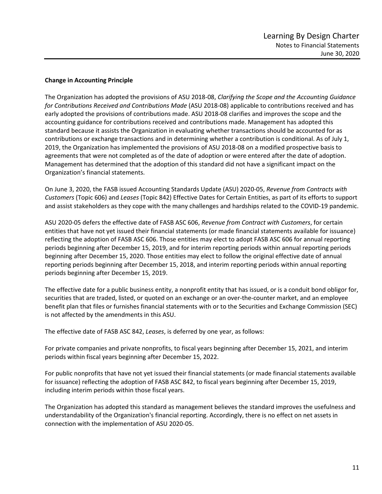# **Change in Accounting Principle**

The Organization has adopted the provisions of ASU 2018‐08, *Clarifying the Scope and the Accounting Guidance for Contributions Received and Contributions Made* (ASU 2018-08) applicable to contributions received and has early adopted the provisions of contributions made. ASU 2018-08 clarifies and improves the scope and the accounting guidance for contributions received and contributions made. Management has adopted this standard because it assists the Organization in evaluating whether transactions should be accounted for as contributions or exchange transactions and in determining whether a contribution is conditional. As of July 1, 2019, the Organization has implemented the provisions of ASU 2018‐08 on a modified prospective basis to agreements that were not completed as of the date of adoption or were entered after the date of adoption. Management has determined that the adoption of this standard did not have a significant impact on the Organization's financial statements.

On June 3, 2020, the FASB issued Accounting Standards Update (ASU) 2020-05, *Revenue from Contracts with Customers* (Topic 606) and *Leases* (Topic 842) Effective Dates for Certain Entities, as part of its efforts to support and assist stakeholders as they cope with the many challenges and hardships related to the COVID-19 pandemic.

ASU 2020-05 defers the effective date of FASB ASC 606, *Revenue from Contract with Customers*, for certain entities that have not yet issued their financial statements (or made financial statements available for issuance) reflecting the adoption of FASB ASC 606. Those entities may elect to adopt FASB ASC 606 for annual reporting periods beginning after December 15, 2019, and for interim reporting periods within annual reporting periods beginning after December 15, 2020. Those entities may elect to follow the original effective date of annual reporting periods beginning after December 15, 2018, and interim reporting periods within annual reporting periods beginning after December 15, 2019.

The effective date for a public business entity, a nonprofit entity that has issued, or is a conduit bond obligor for, securities that are traded, listed, or quoted on an exchange or an over-the-counter market, and an employee benefit plan that files or furnishes financial statements with or to the Securities and Exchange Commission (SEC) is not affected by the amendments in this ASU.

The effective date of FASB ASC 842, *Leases*, is deferred by one year, as follows:

For private companies and private nonprofits, to fiscal years beginning after December 15, 2021, and interim periods within fiscal years beginning after December 15, 2022.

For public nonprofits that have not yet issued their financial statements (or made financial statements available for issuance) reflecting the adoption of FASB ASC 842, to fiscal years beginning after December 15, 2019, including interim periods within those fiscal years.

The Organization has adopted this standard as management believes the standard improves the usefulness and understandability of the Organization's financial reporting. Accordingly, there is no effect on net assets in connection with the implementation of ASU 2020-05.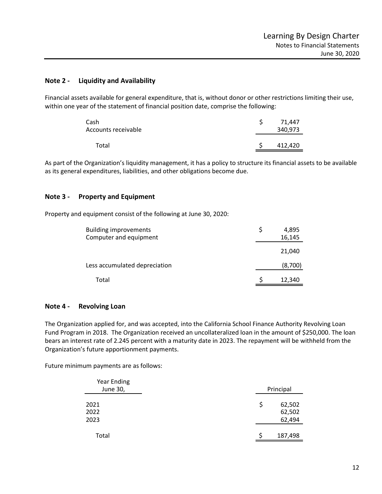# **Note 2 - Liquidity and Availability**

Financial assets available for general expenditure, that is, without donor or other restrictions limiting their use, within one year of the statement of financial position date, comprise the following:

| Cash<br>Accounts receivable |  | 71.447<br>340,973 |
|-----------------------------|--|-------------------|
| Total                       |  | 412,420           |

As part of the Organization's liquidity management, it has a policy to structure its financial assets to be available as its general expenditures, liabilities, and other obligations become due.

# **Note 3 - Property and Equipment**

Property and equipment consist of the following at June 30, 2020:

| <b>Building improvements</b>  | 4,895   |
|-------------------------------|---------|
| Computer and equipment        | 16,145  |
|                               | 21,040  |
| Less accumulated depreciation | (8,700) |
| Total                         | 12,340  |

# **Note 4 - Revolving Loan**

The Organization applied for, and was accepted, into the California School Finance Authority Revolving Loan Fund Program in 2018. The Organization received an uncollateralized loan in the amount of \$250,000. The loan bears an interest rate of 2.245 percent with a maturity date in 2023. The repayment will be withheld from the Organization's future apportionment payments.

Future minimum payments are as follows:

| Year Ending<br>June 30, |    | Principal                  |
|-------------------------|----|----------------------------|
| 2021<br>2022<br>2023    | \$ | 62,502<br>62,502<br>62,494 |
| Total                   |    | 187,498                    |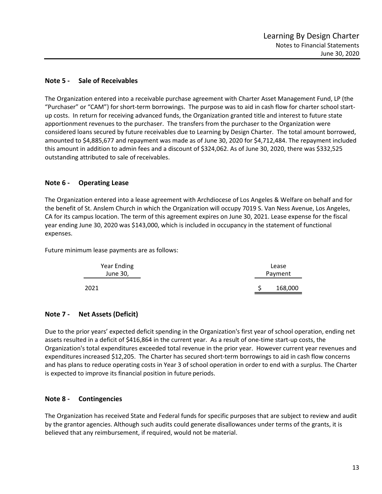# **Note 5 - Sale of Receivables**

The Organization entered into a receivable purchase agreement with Charter Asset Management Fund, LP (the "Purchaser" or "CAM") for short-term borrowings. The purpose was to aid in cash flow for charter school startup costs. In return for receiving advanced funds, the Organization granted title and interest to future state apportionment revenues to the purchaser. The transfers from the purchaser to the Organization were considered loans secured by future receivables due to Learning by Design Charter. The total amount borrowed, amounted to \$4,885,677 and repayment was made as of June 30, 2020 for \$4,712,484. The repayment included this amount in addition to admin fees and a discount of \$324,062. As of June 30, 2020, there was \$332,525 outstanding attributed to sale of receivables.

# **Note 6 - Operating Lease**

The Organization entered into a lease agreement with Archdiocese of Los Angeles & Welfare on behalf and for the benefit of St. Anslem Church in which the Organization will occupy 7019 S. Van Ness Avenue, Los Angeles, CA for its campus location. The term of this agreement expires on June 30, 2021. Lease expense for the fiscal year ending June 30, 2020 was \$143,000, which is included in occupancy in the statement of functional expenses.

Future minimum lease payments are as follows:

| Year Ending<br>June 30, | Lease<br>Payment |         |
|-------------------------|------------------|---------|
| 2021                    |                  | 168,000 |

# **Note 7 - Net Assets (Deficit)**

Due to the prior years' expected deficit spending in the Organization's first year of school operation, ending net assets resulted in a deficit of \$416,864 in the current year. As a result of one-time start-up costs, the Organization's total expenditures exceeded total revenue in the prior year. However current year revenues and expenditures increased \$12,205. The Charter has secured short-term borrowings to aid in cash flow concerns and has plans to reduce operating costs in Year 3 of school operation in order to end with a surplus. The Charter is expected to improve its financial position in future periods.

# **Note 8 - Contingencies**

The Organization has received State and Federal funds for specific purposes that are subject to review and audit by the grantor agencies. Although such audits could generate disallowances under terms of the grants, it is believed that any reimbursement, if required, would not be material.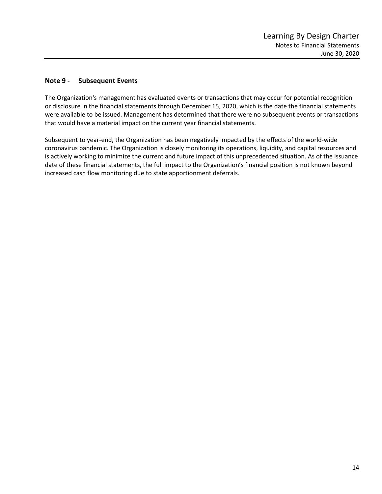# **Note 9 - Subsequent Events**

The Organization's management has evaluated events or transactions that may occur for potential recognition or disclosure in the financial statements through December 15, 2020, which is the date the financial statements were available to be issued. Management has determined that there were no subsequent events or transactions that would have a material impact on the current year financial statements.

Subsequent to year-end, the Organization has been negatively impacted by the effects of the world-wide coronavirus pandemic. The Organization is closely monitoring its operations, liquidity, and capital resources and is actively working to minimize the current and future impact of this unprecedented situation. As of the issuance date of these financial statements, the full impact to the Organization's financial position is not known beyond increased cash flow monitoring due to state apportionment deferrals.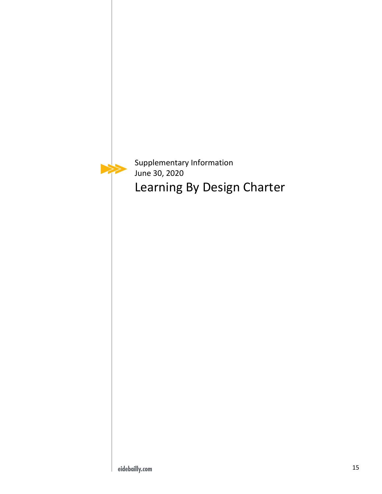

Supplementary Information June 30, 2020 Learning By Design Charter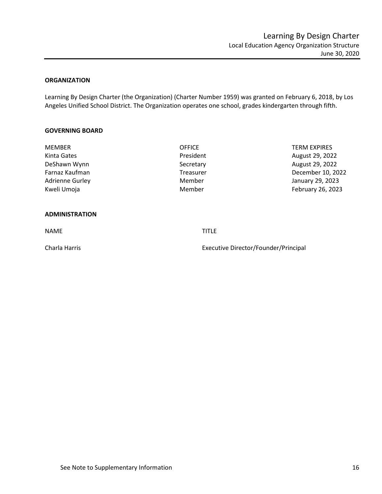# <span id="page-17-1"></span><span id="page-17-0"></span>**ORGANIZATION**

Learning By Design Charter (the Organization) (Charter Number 1959) was granted on February 6, 2018, by Los Angeles Unified School District. The Organization operates one school, grades kindergarten through fifth.

#### **GOVERNING BOARD**

| <b>MEMBER</b>          | <b>OFFICE</b> | <b>TERM EXPIRES</b> |
|------------------------|---------------|---------------------|
| Kinta Gates            | President     | August 29, 2022     |
| DeShawn Wynn           | Secretary     | August 29, 2022     |
| Farnaz Kaufman         | Treasurer     | December 10, 2022   |
| <b>Adrienne Gurley</b> | Member        | January 29, 2023    |
| Kweli Umoja            | Member        | February 26, 2023   |

### **ADMINISTRATION**

NAME TITLE

Charla Harris Executive Director/Founder/Principal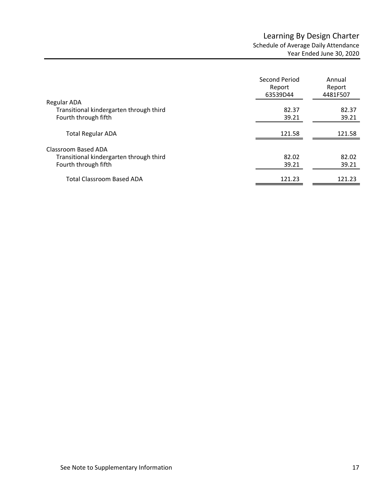<span id="page-18-0"></span>

|                                         | Second Period<br>Report<br>63539D44 | Annual<br>Report<br>4481F507 |
|-----------------------------------------|-------------------------------------|------------------------------|
| Regular ADA                             |                                     |                              |
| Transitional kindergarten through third | 82.37                               | 82.37                        |
| Fourth through fifth                    | 39.21                               | 39.21                        |
| <b>Total Regular ADA</b>                | 121.58                              | 121.58                       |
| Classroom Based ADA                     |                                     |                              |
| Transitional kindergarten through third | 82.02                               | 82.02                        |
| Fourth through fifth                    | 39.21                               | 39.21                        |
| <b>Total Classroom Based ADA</b>        | 121.23                              | 121.23                       |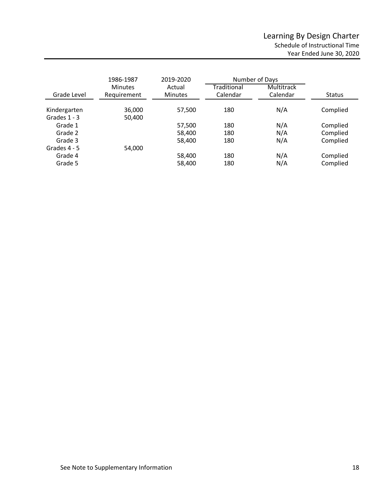<span id="page-19-0"></span>

|                                | 1986-1987                     | 2019-2020                | Number of Days          |                        |                      |
|--------------------------------|-------------------------------|--------------------------|-------------------------|------------------------|----------------------|
| Grade Level                    | <b>Minutes</b><br>Requirement | Actual<br><b>Minutes</b> | Traditional<br>Calendar | Multitrack<br>Calendar | Status               |
| Kindergarten<br>Grades $1 - 3$ | 36,000<br>50,400              | 57,500                   | 180                     | N/A                    | Complied             |
| Grade 1                        |                               | 57,500                   | 180                     | N/A                    | Complied             |
| Grade 2<br>Grade 3             |                               | 58,400<br>58,400         | 180<br>180              | N/A<br>N/A             | Complied<br>Complied |
| Grades 4 - 5                   | 54,000                        |                          |                         |                        |                      |
| Grade 4<br>Grade 5             |                               | 58,400<br>58,400         | 180<br>180              | N/A<br>N/A             | Complied<br>Complied |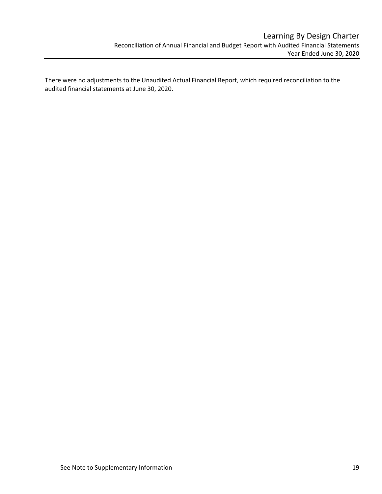<span id="page-20-0"></span>There were no adjustments to the Unaudited Actual Financial Report, which required reconciliation to the audited financial statements at June 30, 2020.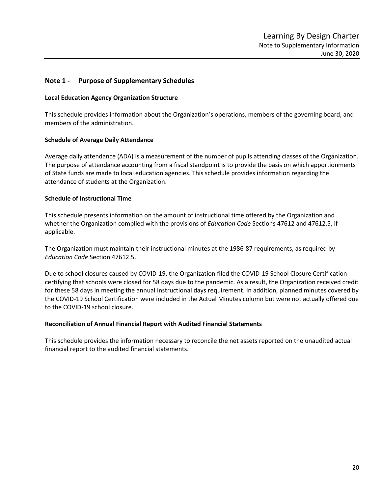# <span id="page-21-0"></span>**Note 1 - Purpose of Supplementary Schedules**

### **Local Education Agency Organization Structure**

This schedule provides information about the Organization's operations, members of the governing board, and members of the administration.

### **Schedule of Average Daily Attendance**

Average daily attendance (ADA) is a measurement of the number of pupils attending classes of the Organization. The purpose of attendance accounting from a fiscal standpoint is to provide the basis on which apportionments of State funds are made to local education agencies. This schedule provides information regarding the attendance of students at the Organization.

### **Schedule of Instructional Time**

This schedule presents information on the amount of instructional time offered by the Organization and whether the Organization complied with the provisions of *Education Code* Sections 47612 and 47612.5, if applicable.

The Organization must maintain their instructional minutes at the 1986-87 requirements, as required by *Education Code* Section 47612.5.

Due to school closures caused by COVID‐19, the Organization filed the COVID‐19 School Closure Certification certifying that schools were closed for 58 days due to the pandemic. As a result, the Organization received credit for these 58 days in meeting the annual instructional days requirement. In addition, planned minutes covered by the COVID-19 School Certification were included in the Actual Minutes column but were not actually offered due to the COVID-19 school closure.

#### **Reconciliation of Annual Financial Report with Audited Financial Statements**

This schedule provides the information necessary to reconcile the net assets reported on the unaudited actual financial report to the audited financial statements.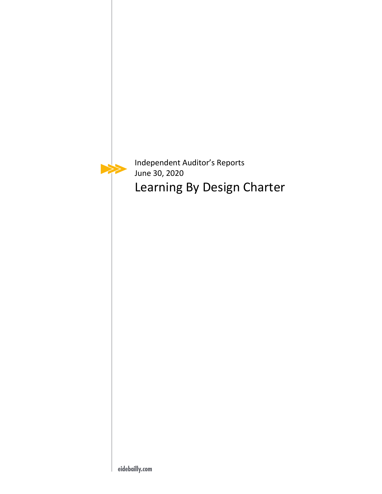

Independent Auditor's Reports June 30, 2020 Learning By Design Charter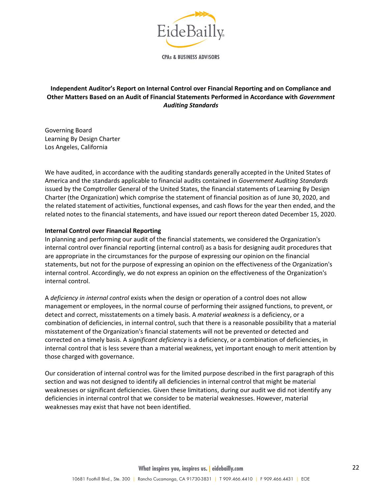

**CPAs & BUSINESS ADVISORS** 

# <span id="page-23-1"></span><span id="page-23-0"></span>**Independent Auditor's Report on Internal Control over Financial Reporting and on Compliance and Other Matters Based on an Audit of Financial Statements Performed in Accordance with** *Government Auditing Standards*

Governing Board Learning By Design Charter Los Angeles, California

We have audited, in accordance with the auditing standards generally accepted in the United States of America and the standards applicable to financial audits contained in *Government Auditing Standards* issued by the Comptroller General of the United States, the financial statements of Learning By Design Charter (the Organization) which comprise the statement of financial position as of June 30, 2020, and the related statement of activities, functional expenses, and cash flows for the year then ended, and the related notes to the financial statements, and have issued our report thereon dated December 15, 2020.

# **Internal Control over Financial Reporting**

In planning and performing our audit of the financial statements, we considered the Organization's internal control over financial reporting (internal control) as a basis for designing audit procedures that are appropriate in the circumstances for the purpose of expressing our opinion on the financial statements, but not for the purpose of expressing an opinion on the effectiveness of the Organization's internal control. Accordingly, we do not express an opinion on the effectiveness of the Organization's internal control.

A *deficiency in internal control* exists when the design or operation of a control does not allow management or employees, in the normal course of performing their assigned functions, to prevent, or detect and correct, misstatements on a timely basis. A *material weakness* is a deficiency, or a combination of deficiencies, in internal control, such that there is a reasonable possibility that a material misstatement of the Organization's financial statements will not be prevented or detected and corrected on a timely basis. A *significant deficiency* is a deficiency, or a combination of deficiencies, in internal control that is less severe than a material weakness, yet important enough to merit attention by those charged with governance.

Our consideration of internal control was for the limited purpose described in the first paragraph of this section and was not designed to identify all deficiencies in internal control that might be material weaknesses or significant deficiencies. Given these limitations, during our audit we did not identify any deficiencies in internal control that we consider to be material weaknesses. However, material weaknesses may exist that have not been identified.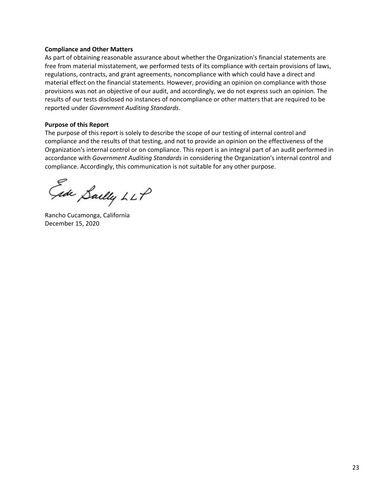### **Compliance and Other Matters**

As part of obtaining reasonable assurance about whether the Organization's financial statements are free from material misstatement, we performed tests of its compliance with certain provisions of laws, regulations, contracts, and grant agreements, noncompliance with which could have a direct and material effect on the financial statements. However, providing an opinion on compliance with those provisions was not an objective of our audit, and accordingly, we do not express such an opinion. The results of our tests disclosed no instances of noncompliance or other matters that are required to be reported under *Government Auditing Standards*.

### **Purpose of this Report**

The purpose of this report is solely to describe the scope of our testing of internal control and compliance and the results of that testing, and not to provide an opinion on the effectiveness of the Organization's internal control or on compliance. This report is an integral part of an audit performed in accordance with *Government Auditing Standards* in considering the Organization's internal control and compliance. Accordingly, this communication is not suitable for any other purpose.

Gide Sailly LLP

Rancho Cucamonga, California December 15, 2020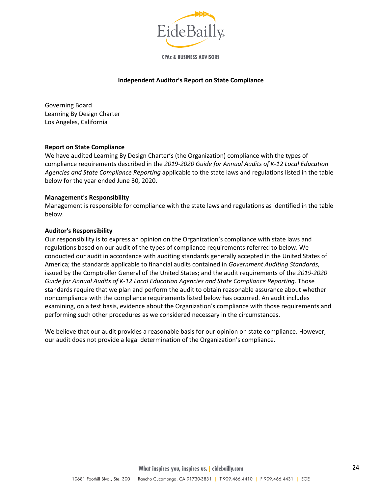

**CPAs & BUSINESS ADVISORS** 

### **Independent Auditor's Report on State Compliance**

<span id="page-25-0"></span>Governing Board Learning By Design Charter Los Angeles, California

#### **Report on State Compliance**

We have audited Learning By Design Charter's (the Organization) compliance with the types of compliance requirements described in the *2019-2020 Guide for Annual Audits of K-12 Local Education Agencies and State Compliance Reporting* applicable to the state laws and regulations listed in the table below for the year ended June 30, 2020.

### **Management's Responsibility**

Management is responsible for compliance with the state laws and regulations as identified in the table below.

### **Auditor's Responsibility**

Our responsibility is to express an opinion on the Organization's compliance with state laws and regulations based on our audit of the types of compliance requirements referred to below. We conducted our audit in accordance with auditing standards generally accepted in the United States of America; the standards applicable to financial audits contained in *Government Auditing Standards*, issued by the Comptroller General of the United States; and the audit requirements of the *2019-2020 Guide for Annual Audits of K-12 Local Education Agencies and State Compliance Reporting*. Those standards require that we plan and perform the audit to obtain reasonable assurance about whether noncompliance with the compliance requirements listed below has occurred. An audit includes examining, on a test basis, evidence about the Organization's compliance with those requirements and performing such other procedures as we considered necessary in the circumstances.

We believe that our audit provides a reasonable basis for our opinion on state compliance. However, our audit does not provide a legal determination of the Organization's compliance.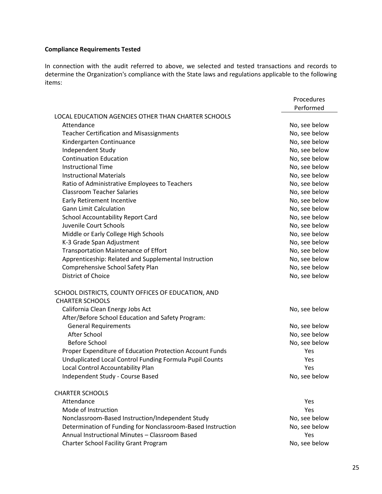### **Compliance Requirements Tested**

In connection with the audit referred to above, we selected and tested transactions and records to determine the Organization's compliance with the State laws and regulations applicable to the following items:

|                                                             | Procedures    |
|-------------------------------------------------------------|---------------|
|                                                             | Performed     |
| LOCAL EDUCATION AGENCIES OTHER THAN CHARTER SCHOOLS         |               |
| Attendance                                                  | No, see below |
| <b>Teacher Certification and Misassignments</b>             | No, see below |
| Kindergarten Continuance                                    | No, see below |
| Independent Study                                           | No, see below |
| <b>Continuation Education</b>                               | No, see below |
| <b>Instructional Time</b>                                   | No, see below |
| <b>Instructional Materials</b>                              | No, see below |
| Ratio of Administrative Employees to Teachers               | No, see below |
| <b>Classroom Teacher Salaries</b>                           | No, see below |
| Early Retirement Incentive                                  | No, see below |
| <b>Gann Limit Calculation</b>                               | No, see below |
| <b>School Accountability Report Card</b>                    | No, see below |
| Juvenile Court Schools                                      | No, see below |
| Middle or Early College High Schools                        | No, see below |
| K-3 Grade Span Adjustment                                   | No, see below |
| <b>Transportation Maintenance of Effort</b>                 | No, see below |
| Apprenticeship: Related and Supplemental Instruction        | No, see below |
| Comprehensive School Safety Plan                            | No, see below |
| District of Choice                                          | No, see below |
| SCHOOL DISTRICTS, COUNTY OFFICES OF EDUCATION, AND          |               |
| <b>CHARTER SCHOOLS</b>                                      |               |
| California Clean Energy Jobs Act                            | No, see below |
| After/Before School Education and Safety Program:           |               |
| <b>General Requirements</b>                                 | No, see below |
| After School                                                | No, see below |
| <b>Before School</b>                                        | No, see below |
| Proper Expenditure of Education Protection Account Funds    | Yes           |
| Unduplicated Local Control Funding Formula Pupil Counts     | Yes           |
| Local Control Accountability Plan                           | Yes           |
| Independent Study - Course Based                            | No, see below |
| <b>CHARTER SCHOOLS</b>                                      |               |
| Attendance                                                  | Yes           |
| Mode of Instruction                                         | Yes           |
| Nonclassroom-Based Instruction/Independent Study            | No, see below |
| Determination of Funding for Nonclassroom-Based Instruction | No, see below |
| Annual Instructional Minutes - Classroom Based              | Yes           |
| <b>Charter School Facility Grant Program</b>                | No, see below |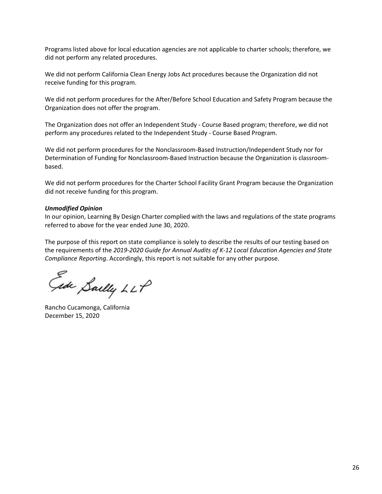Programs listed above for local education agencies are not applicable to charter schools; therefore, we did not perform any related procedures.

We did not perform California Clean Energy Jobs Act procedures because the Organization did not receive funding for this program.

We did not perform procedures for the After/Before School Education and Safety Program because the Organization does not offer the program.

The Organization does not offer an Independent Study - Course Based program; therefore, we did not perform any procedures related to the Independent Study - Course Based Program.

We did not perform procedures for the Nonclassroom-Based Instruction/Independent Study nor for Determination of Funding for Nonclassroom-Based Instruction because the Organization is classroombased.

We did not perform procedures for the Charter School Facility Grant Program because the Organization did not receive funding for this program.

### *Unmodified Opinion*

In our opinion, Learning By Design Charter complied with the laws and regulations of the state programs referred to above for the year ended June 30, 2020.

The purpose of this report on state compliance is solely to describe the results of our testing based on the requirements of the *2019-2020 Guide for Annual Audits of K-12 Local Education Agencies and State Compliance Reporting*. Accordingly, this report is not suitable for any other purpose.

Fede Sailly LLP

Rancho Cucamonga, California December 15, 2020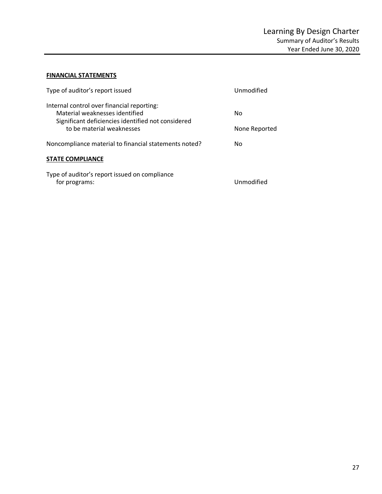# <span id="page-28-1"></span><span id="page-28-0"></span>**FINANCIAL STATEMENTS**

| Type of auditor's report issued                                                                                                    | Unmodified    |
|------------------------------------------------------------------------------------------------------------------------------------|---------------|
| Internal control over financial reporting:<br>Material weaknesses identified<br>Significant deficiencies identified not considered | No            |
| to be material weaknesses                                                                                                          | None Reported |
| Noncompliance material to financial statements noted?                                                                              | Nο            |
| <b>STATE COMPLIANCE</b>                                                                                                            |               |
| Type of auditor's report issued on compliance<br>for programs:                                                                     | Unmodified    |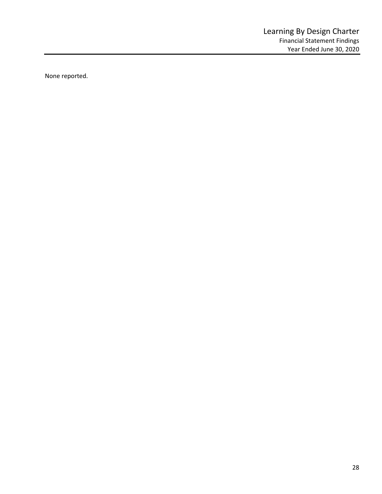<span id="page-29-0"></span>None reported.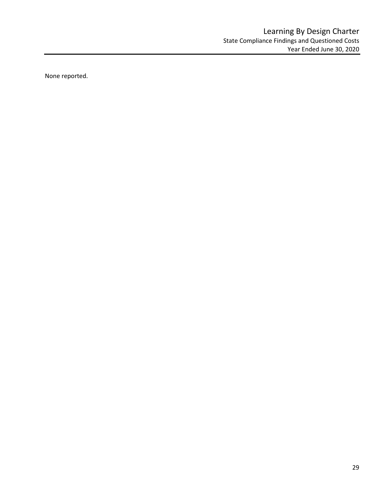<span id="page-30-0"></span>None reported.